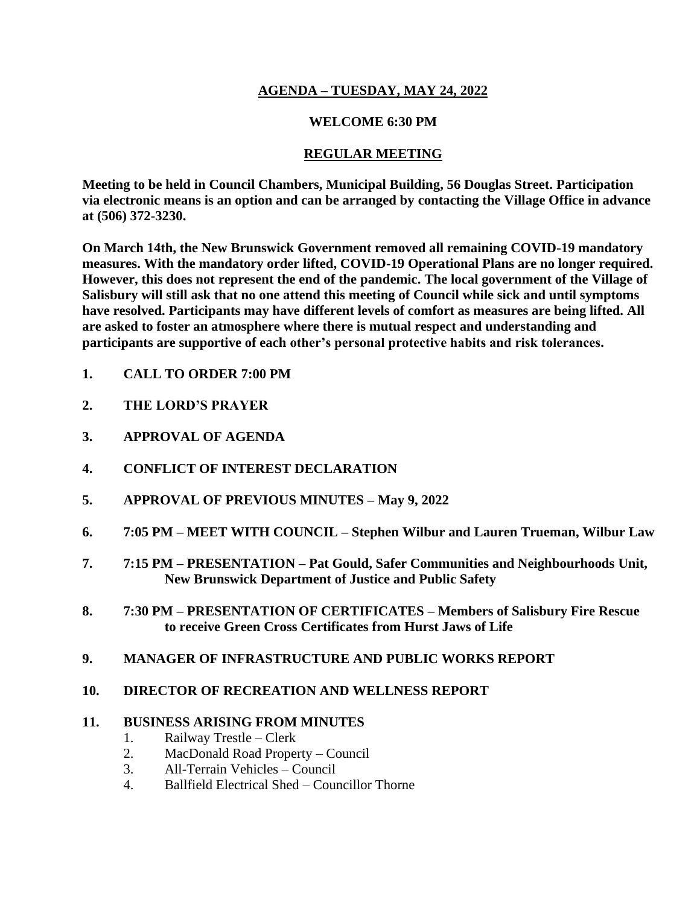## **AGENDA – TUESDAY, MAY 24, 2022**

### **WELCOME 6:30 PM**

## **REGULAR MEETING**

**Meeting to be held in Council Chambers, Municipal Building, 56 Douglas Street. Participation via electronic means is an option and can be arranged by contacting the Village Office in advance at (506) 372-3230.**

**On March 14th, the New Brunswick Government removed all remaining COVID-19 mandatory measures. With the mandatory order lifted, COVID-19 Operational Plans are no longer required. However, this does not represent the end of the pandemic. The local government of the Village of Salisbury will still ask that no one attend this meeting of Council while sick and until symptoms have resolved. Participants may have different levels of comfort as measures are being lifted. All are asked to foster an atmosphere where there is mutual respect and understanding and participants are supportive of each other's personal protective habits and risk tolerances.**

- **1. CALL TO ORDER 7:00 PM**
- **2. THE LORD'S PRAYER**
- **3. APPROVAL OF AGENDA**
- **4. CONFLICT OF INTEREST DECLARATION**
- **5. APPROVAL OF PREVIOUS MINUTES – May 9, 2022**
- **6. 7:05 PM – MEET WITH COUNCIL – Stephen Wilbur and Lauren Trueman, Wilbur Law**
- **7. 7:15 PM – PRESENTATION – Pat Gould, Safer Communities and Neighbourhoods Unit, New Brunswick Department of Justice and Public Safety**
- **8. 7:30 PM – PRESENTATION OF CERTIFICATES – Members of Salisbury Fire Rescue to receive Green Cross Certificates from Hurst Jaws of Life**
- **9. MANAGER OF INFRASTRUCTURE AND PUBLIC WORKS REPORT**

## **10. DIRECTOR OF RECREATION AND WELLNESS REPORT**

#### **11. BUSINESS ARISING FROM MINUTES**

- 1. Railway Trestle Clerk
- 2. MacDonald Road Property Council
- 3. All-Terrain Vehicles Council
- 4. Ballfield Electrical Shed Councillor Thorne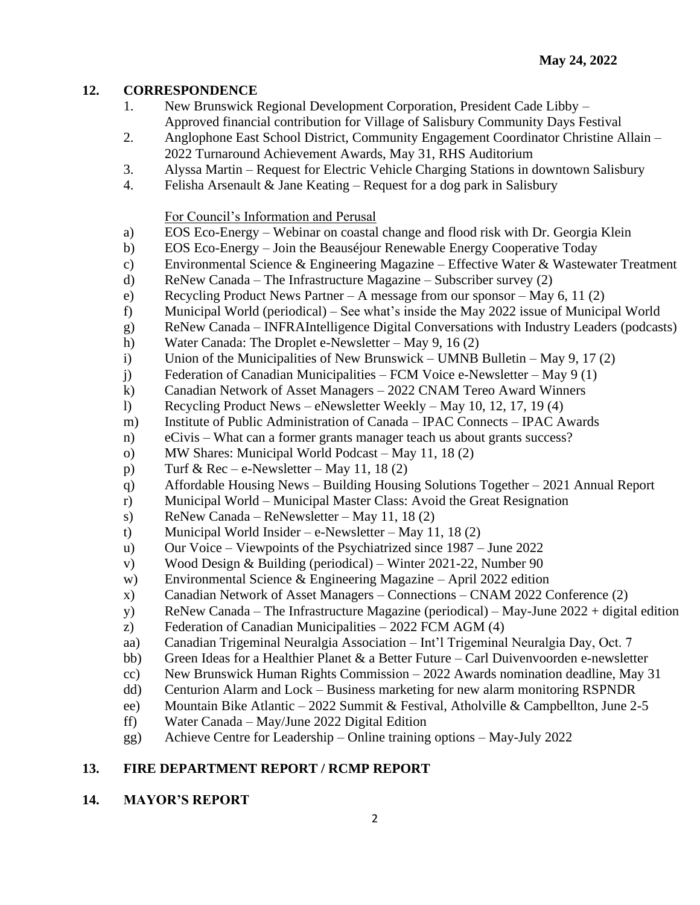### **12. CORRESPONDENCE**

- 1. New Brunswick Regional Development Corporation, President Cade Libby Approved financial contribution for Village of Salisbury Community Days Festival
- 2. Anglophone East School District, Community Engagement Coordinator Christine Allain 2022 Turnaround Achievement Awards, May 31, RHS Auditorium
- 3. Alyssa Martin Request for Electric Vehicle Charging Stations in downtown Salisbury
- 4. Felisha Arsenault & Jane Keating Request for a dog park in Salisbury

#### For Council's Information and Perusal

- a) EOS Eco-Energy Webinar on coastal change and flood risk with Dr. Georgia Klein
- b) EOS Eco-Energy Join the Beauséjour Renewable Energy Cooperative Today
- c) Environmental Science & Engineering Magazine Effective Water & Wastewater Treatment
- d) ReNew Canada The Infrastructure Magazine Subscriber survey (2)
- e) Recycling Product News Partner A message from our sponsor May 6, 11 (2)
- f) Municipal World (periodical) See what's inside the May 2022 issue of Municipal World
- g) ReNew Canada INFRAIntelligence Digital Conversations with Industry Leaders (podcasts)
- h) Water Canada: The Droplet e-Newsletter May 9, 16 (2)
- i) Union of the Municipalities of New Brunswick UMNB Bulletin May 9, 17 (2)
- j) Federation of Canadian Municipalities FCM Voice e-Newsletter May 9 (1)
- k) Canadian Network of Asset Managers 2022 CNAM Tereo Award Winners
- l) Recycling Product News eNewsletter Weekly May 10, 12, 17, 19 (4)
- m) Institute of Public Administration of Canada IPAC Connects IPAC Awards
- n) eCivis What can a former grants manager teach us about grants success?
- o) MW Shares: Municipal World Podcast May 11, 18 (2)
- p) Turf & Rec e-Newsletter May 11, 18 $(2)$
- q) Affordable Housing News Building Housing Solutions Together 2021 Annual Report
- r) Municipal World Municipal Master Class: Avoid the Great Resignation
- s) ReNew Canada ReNewsletter May 11, 18 $(2)$
- t) Municipal World Insider e-Newsletter May 11, 18 (2)
- u) Our Voice Viewpoints of the Psychiatrized since 1987 June 2022
- v) Wood Design & Building (periodical) Winter 2021-22, Number 90
- w) Environmental Science & Engineering Magazine April 2022 edition
- x) Canadian Network of Asset Managers Connections CNAM 2022 Conference (2)
- y) ReNew Canada The Infrastructure Magazine (periodical) May-June 2022 + digital edition
- z) Federation of Canadian Municipalities 2022 FCM AGM (4)
- aa) Canadian Trigeminal Neuralgia Association Int'l Trigeminal Neuralgia Day, Oct. 7
- bb) Green Ideas for a Healthier Planet  $\&$  a Better Future Carl Duivenvoorden e-newsletter
- cc) New Brunswick Human Rights Commission 2022 Awards nomination deadline, May 31
- dd) Centurion Alarm and Lock Business marketing for new alarm monitoring RSPNDR
- ee) Mountain Bike Atlantic 2022 Summit & Festival, Atholville & Campbellton, June 2-5
- ff) Water Canada May/June 2022 Digital Edition
- gg) Achieve Centre for Leadership Online training options May-July 2022

# **13. FIRE DEPARTMENT REPORT / RCMP REPORT**

## **14. MAYOR'S REPORT**